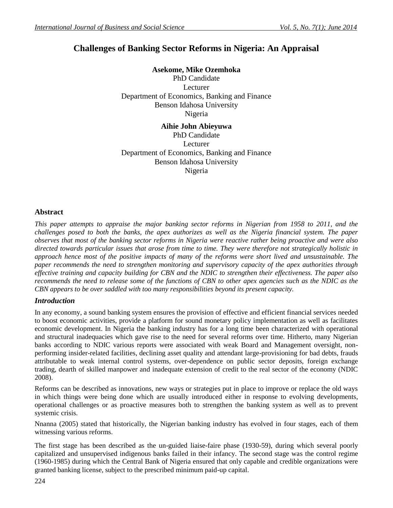# **Challenges of Banking Sector Reforms in Nigeria: An Appraisal**

**Asekome, Mike Ozemhoka**

PhD Candidate Lecturer Department of Economics, Banking and Finance Benson Idahosa University Nigeria

**Aihie John Abieyuwa** PhD Candidate Lecturer Department of Economics, Banking and Finance Benson Idahosa University Nigeria

## **Abstract**

*This paper attempts to appraise the major banking sector reforms in Nigerian from 1958 to 2011, and the challenges posed to both the banks, the apex authorizes as well as the Nigeria financial system. The paper observes that most of the banking sector reforms in Nigeria were reactive rather being proactive and were also directed towards particular issues that arose from time to time. They were therefore not strategically holistic in approach hence most of the positive impacts of many of the reforms were short lived and unsustainable. The paper recommends the need to strengthen monitoring and supervisory capacity of the apex authorities through effective training and capacity building for CBN and the NDIC to strengthen their effectiveness. The paper also recommends the need to release some of the functions of CBN to other apex agencies such as the NDIC as the CBN appears to be over saddled with too many responsibilities beyond its present capacity.* 

## *Introduction*

In any economy, a sound banking system ensures the provision of effective and efficient financial services needed to boost economic activities, provide a platform for sound monetary policy implementation as well as facilitates economic development. In Nigeria the banking industry has for a long time been characterized with operational and structural inadequacies which gave rise to the need for several reforms over time. Hitherto, many Nigerian banks according to NDIC various reports were associated with weak Board and Management oversight, nonperforming insider-related facilities, declining asset quality and attendant large-provisioning for bad debts, frauds attributable to weak internal control systems, over-dependence on public sector deposits, foreign exchange trading, dearth of skilled manpower and inadequate extension of credit to the real sector of the economy (NDIC 2008).

Reforms can be described as innovations, new ways or strategies put in place to improve or replace the old ways in which things were being done which are usually introduced either in response to evolving developments, operational challenges or as proactive measures both to strengthen the banking system as well as to prevent systemic crisis.

Nnanna (2005) stated that historically, the Nigerian banking industry has evolved in four stages, each of them witnessing various reforms.

The first stage has been described as the un-guided liaise-faire phase (1930-59), during which several poorly capitalized and unsupervised indigenous banks failed in their infancy. The second stage was the control regime (1960-1985) during which the Central Bank of Nigeria ensured that only capable and credible organizations were granted banking license, subject to the prescribed minimum paid-up capital.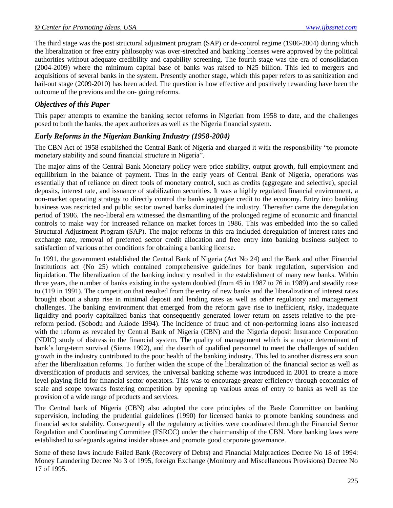The third stage was the post structural adjustment program (SAP) or de-control regime (1986-2004) during which the liberalization or free entry philosophy was over-stretched and banking licenses were approved by the political authorities without adequate credibility and capability screening. The fourth stage was the era of consolidation (2004-2009) where the minimum capital base of banks was raised to N25 billion. This led to mergers and acquisitions of several banks in the system. Presently another stage, which this paper refers to as sanitization and bail-out stage (2009-2010) has been added. The question is how effective and positively rewarding have been the outcome of the previous and the on- going reforms.

### *Objectives of this Paper*

This paper attempts to examine the banking sector reforms in Nigerian from 1958 to date, and the challenges posed to both the banks, the apex authorizes as well as the Nigeria financial system.

### *Early Reforms in the Nigerian Banking Industry (1958-2004)*

The CBN Act of 1958 established the Central Bank of Nigeria and charged it with the responsibility "to promote monetary stability and sound financial structure in Nigeria".

The major aims of the Central Bank Monetary policy were price stability, output growth, full employment and equilibrium in the balance of payment. Thus in the early years of Central Bank of Nigeria, operations was essentially that of reliance on direct tools of monetary control, such as credits (aggregate and selective), special deposits, interest rate, and issuance of stabilization securities. It was a highly regulated financial environment, a non-market operating strategy to directly control the banks aggregate credit to the economy. Entry into banking business was restricted and public sector owned banks dominated the industry. Thereafter came the deregulation period of 1986. The neo-liberal era witnessed the dismantling of the prolonged regime of economic and financial controls to make way for increased reliance on market forces in 1986. This was embedded into the so called Structural Adjustment Program (SAP). The major reforms in this era included deregulation of interest rates and exchange rate, removal of preferred sector credit allocation and free entry into banking business subject to satisfaction of various other conditions for obtaining a banking license.

In 1991, the government established the Central Bank of Nigeria (Act No 24) and the Bank and other Financial Institutions act (No 25) which contained comprehensive guidelines for bank regulation, supervision and liquidation. The liberalization of the banking industry resulted in the establishment of many new banks. Within three years, the number of banks existing in the system doubled (from 45 in 1987 to 76 in 1989) and steadily rose to (119 in 1991). The competition that resulted from the entry of new banks and the liberalization of interest rates brought about a sharp rise in minimal deposit and lending rates as well as other regulatory and management challenges. The banking environment that emerged from the reform gave rise to inefficient, risky, inadequate liquidity and poorly capitalized banks that consequently generated lower return on assets relative to the prereform period. (Sobodu and Akiode 1994). The incidence of fraud and of non-performing loans also increased with the reform as revealed by Central Bank of Nigeria (CBN) and the Nigeria deposit Insurance Corporation (NDIC) study of distress in the financial system. The quality of management which is a major determinant of bank's long-term survival (Siems 1992), and the dearth of qualified personnel to meet the challenges of sudden growth in the industry contributed to the poor health of the banking industry. This led to another distress era soon after the liberalization reforms. To further widen the scope of the liberalization of the financial sector as well as diversification of products and services, the universal banking scheme was introduced in 2001 to create a more level-playing field for financial sector operators. This was to encourage greater efficiency through economics of scale and scope towards fostering competition by opening up various areas of entry to banks as well as the provision of a wide range of products and services.

The Central bank of Nigeria (CBN) also adopted the core principles of the Basle Committee on banking supervision, including the prudential guidelines (1990) for licensed banks to promote banking soundness and financial sector stability. Consequently all the regulatory activities were coordinated through the Financial Sector Regulation and Coordinating Committee (FSRCC) under the chairmanship of the CBN. More banking laws were established to safeguards against insider abuses and promote good corporate governance.

Some of these laws include Failed Bank (Recovery of Debts) and Financial Malpractices Decree No 18 of 1994: Money Laundering Decree No 3 of 1995, foreign Exchange (Monitory and Miscellaneous Provisions) Decree No 17 of 1995.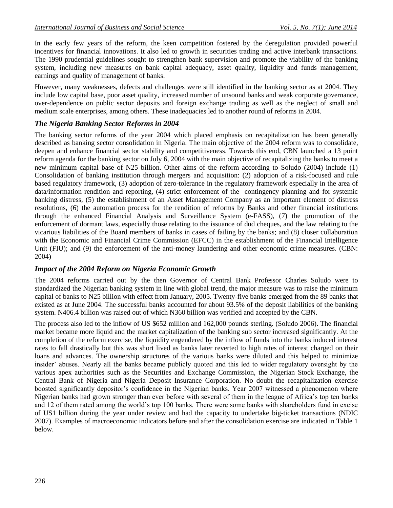In the early few years of the reform, the keen competition fostered by the deregulation provided powerful incentives for financial innovations. It also led to growth in securities trading and active interbank transactions. The 1990 prudential guidelines sought to strengthen bank supervision and promote the viability of the banking system, including new measures on bank capital adequacy, asset quality, liquidity and funds management, earnings and quality of management of banks.

However, many weaknesses, defects and challenges were still identified in the banking sector as at 2004. They include low capital base, poor asset quality, increased number of unsound banks and weak corporate governance, over-dependence on public sector deposits and foreign exchange trading as well as the neglect of small and medium scale enterprises, among others. These inadequacies led to another round of reforms in 2004.

### *The Nigeria Banking Sector Reforms in 2004*

The banking sector reforms of the year 2004 which placed emphasis on recapitalization has been generally described as banking sector consolidation in Nigeria. The main objective of the 2004 reform was to consolidate, deepen and enhance financial sector stability and competitiveness. Towards this end, CBN launched a 13 point reform agenda for the banking sector on July 6, 2004 with the main objective of recapitalizing the banks to meet a new minimum capital base of N25 billion. Other aims of the reform according to Soludo (2004) include (1) Consolidation of banking institution through mergers and acquisition: (2) adoption of a risk-focused and rule based regulatory framework, (3) adoption of zero-tolerance in the regulatory framework especially in the area of data/information rendition and reporting, (4) strict enforcement of the contingency planning and for systemic banking distress, (5) the establishment of an Asset Management Company as an important element of distress resolutions, (6) the automation process for the rendition of reforms by Banks and other financial institutions through the enhanced Financial Analysis and Surveillance System (e-FASS), (7) the promotion of the enforcement of dormant laws, especially those relating to the issuance of dud cheques, and the law relating to the vicarious liabilities of the Board members of banks in cases of failing by the banks; and (8) closer collaboration with the Economic and Financial Crime Commission (EFCC) in the establishment of the Financial Intelligence Unit (FIU); and (9) the enforcement of the anti-money laundering and other economic crime measures. (CBN: 2004)

## *Impact of the 2004 Reform on Nigeria Economic Growth*

The 2004 reforms carried out by the then Governor of Central Bank Professor Charles Soludo were to standardized the Nigerian banking system in line with global trend, the major measure was to raise the minimum capital of banks to N25 billion with effect from January, 2005. Twenty-five banks emerged from the 89 banks that existed as at June 2004. The successful banks accounted for about 93.5% of the deposit liabilities of the banking system. N406.4 billion was raised out of which N360 billion was verified and accepted by the CBN.

The process also led to the inflow of US \$652 million and 162,000 pounds sterling. (Soludo 2006). The financial market became more liquid and the market capitalization of the banking sub sector increased significantly. At the completion of the reform exercise, the liquidity engendered by the inflow of funds into the banks induced interest rates to fall drastically but this was short lived as banks later reverted to high rates of interest charged on their loans and advances. The ownership structures of the various banks were diluted and this helped to minimize insider' abuses. Nearly all the banks became publicly quoted and this led to wider regulatory oversight by the various apex authorities such as the Securities and Exchange Commission, the Nigerian Stock Exchange, the Central Bank of Nigeria and Nigeria Deposit Insurance Corporation. No doubt the recapitalization exercise boosted significantly depositor's confidence in the Nigerian banks. Year 2007 witnessed a phenomenon where Nigerian banks had grown stronger than ever before with several of them in the league of Africa's top ten banks and 12 of them rated among the world's top 100 banks. There were some banks with shareholders fund in excise of US1 billion during the year under review and had the capacity to undertake big-ticket transactions (NDIC 2007). Examples of macroeconomic indicators before and after the consolidation exercise are indicated in Table 1 below.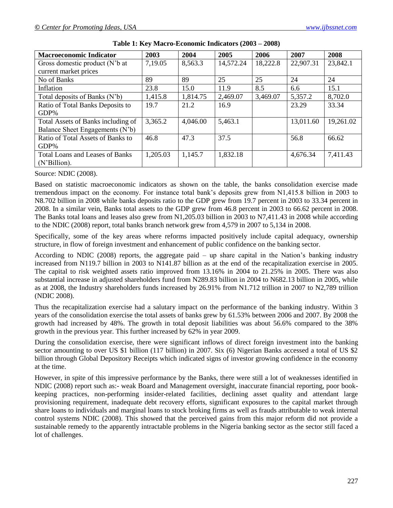| <b>Macroeconomic Indicator</b>         | 2003     | 2004     | 2005      | 2006     | 2007      | 2008      |
|----------------------------------------|----------|----------|-----------|----------|-----------|-----------|
| Gross domestic product (N'b at         | 7,19.05  | 8,563.3  | 14,572.24 | 18,222.8 | 22,907.31 | 23,842.1  |
| current market prices                  |          |          |           |          |           |           |
| No of Banks                            | 89       | 89       | 25        | 25       | 24        | 24        |
| Inflation                              | 23.8     | 15.0     | 11.9      | 8.5      | 6.6       | 15.1      |
| Total deposits of Banks (N'b)          | 1,415.8  | 1,814.75 | 2,469.07  | 3,469.07 | 5,357.2   | 8,702.0   |
| Ratio of Total Banks Deposits to       | 19.7     | 21.2     | 16.9      |          | 23.29     | 33.34     |
| $GDP\%$                                |          |          |           |          |           |           |
| Total Assets of Banks including of     | 3,365.2  | 4,046.00 | 5,463.1   |          | 13,011.60 | 19,261.02 |
| Balance Sheet Engagements (N'b)        |          |          |           |          |           |           |
| Ratio of Total Assets of Banks to      | 46.8     | 47.3     | 37.5      |          | 56.8      | 66.62     |
| GDP%                                   |          |          |           |          |           |           |
| <b>Total Loans and Leases of Banks</b> | 1,205.03 | 1,145.7  | 1,832.18  |          | 4,676.34  | 7,411.43  |
| (N'Billion).                           |          |          |           |          |           |           |

|  | Table 1: Key Macro-Economic Indicators (2003 – 2008) |  |
|--|------------------------------------------------------|--|
|--|------------------------------------------------------|--|

#### Source: NDIC (2008).

Based on statistic macroeconomic indicators as shown on the table, the banks consolidation exercise made tremendous impact on the economy. For instance total bank's deposits grew from N1,415.8 billion in 2003 to N8.702 billion in 2008 while banks deposits ratio to the GDP grew from 19.7 percent in 2003 to 33.34 percent in 2008. In a similar vein, Banks total assets to the GDP grew from 46.8 percent in 2003 to 66.62 percent in 2008. The Banks total loans and leases also grew from N1,205.03 billion in 2003 to N7,411.43 in 2008 while according to the NDIC (2008) report, total banks branch network grew from 4,579 in 2007 to 5,134 in 2008.

Specifically, some of the key areas where reforms impacted positively include capital adequacy, ownership structure, in flow of foreign investment and enhancement of public confidence on the banking sector.

According to NDIC (2008) reports, the aggregate paid – up share capital in the Nation's banking industry increased from N119.7 billion in 2003 to N141.87 billion as at the end of the recapitalization exercise in 2005. The capital to risk weighted assets ratio improved from 13.16% in 2004 to 21.25% in 2005. There was also substantial increase in adjusted shareholders fund from N289.83 billion in 2004 to N682.13 billion in 2005, while as at 2008, the Industry shareholders funds increased by 26.91% from N1.712 trillion in 2007 to N2,789 trillion (NDIC 2008).

Thus the recapitalization exercise had a salutary impact on the performance of the banking industry. Within 3 years of the consolidation exercise the total assets of banks grew by 61.53% between 2006 and 2007. By 2008 the growth had increased by 48%. The growth in total deposit liabilities was about 56.6% compared to the 38% growth in the previous year. This further increased by 62% in year 2009.

During the consolidation exercise, there were significant inflows of direct foreign investment into the banking sector amounting to over US \$1 billion (117 billion) in 2007. Six (6) Nigerian Banks accessed a total of US \$2 billion through Global Depository Receipts which indicated signs of investor growing confidence in the economy at the time.

However, in spite of this impressive performance by the Banks, there were still a lot of weaknesses identified in NDIC (2008) report such as:- weak Board and Management oversight, inaccurate financial reporting, poor bookkeeping practices, non-performing insider-related facilities, declining asset quality and attendant large provisioning requirement, inadequate debt recovery efforts, significant exposures to the capital market through share loans to individuals and marginal loans to stock broking firms as well as frauds attributable to weak internal control systems NDIC (2008). This showed that the perceived gains from this major reform did not provide a sustainable remedy to the apparently intractable problems in the Nigeria banking sector as the sector still faced a lot of challenges.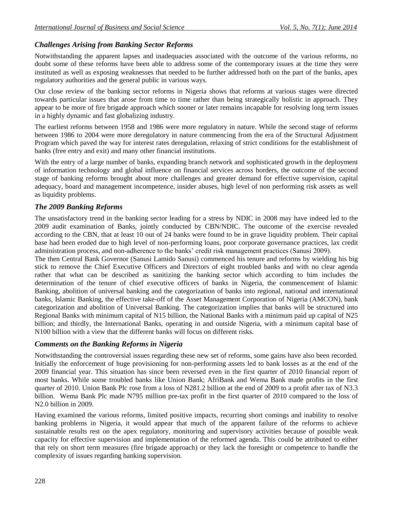## *Challenges Arising from Banking Sector Reforms*

Notwithstanding the apparent lapses and inadequacies associated with the outcome of the various reforms, no doubt some of these reforms have been able to address some of the contemporary issues at the time they were instituted as well as exposing weaknesses that needed to be further addressed both on the part of the banks, apex regulatory authorities and the general public in various ways.

Our close review of the banking sector reforms in Nigeria shows that reforms at various stages were directed towards particular issues that arose from time to time rather than being strategically holistic in approach. They appear to be more of fire brigade approach which sooner or later remains incapable for resolving long term issues in a highly dynamic and fast globalizing industry.

The earliest reforms between 1958 and 1986 were more regulatory in nature. While the second stage of reforms between 1986 to 2004 were more deregulatory in nature commencing from the era of the Structural Adjustment Program which paved the way for interest rates deregulation, relaxing of strict conditions for the establishment of banks (free entry and exit) and many other financial institutions.

With the entry of a large number of banks, expanding branch network and sophisticated growth in the deployment of information technology and global influence on financial services across borders, the outcome of the second stage of banking reforms brought about more challenges and greater demand for effective supervision, capital adequacy, board and management incompetence, insider abuses, high level of non performing risk assets as well as liquidity problems.

## *The 2009 Banking Reforms*

The unsatisfactory trend in the banking sector leading for a stress by NDIC in 2008 may have indeed led to the 2009 audit examination of Banks, jointly conducted by CBN/NDIC. The outcome of the exercise revealed according to the CBN, that at least 10 out of 24 banks were found to be in grave liquidity problem. Their capital base had been eroded due to high level of non-performing loans, poor corporate governance practices, lax credit administration process, and non-adherence to the banks' credit risk management practices (Sanusi 2009).

The then Central Bank Governor (Sanusi Lamido Sanusi) commenced his tenure and reforms by wielding his big stick to remove the Chief Executive Officers and Directors of eight troubled banks and with no clear agenda rather that what can be described as sanitizing the banking sector which according to him includes the determination of the tenure of chief executive officers of banks in Nigeria, the commencement of Islamic Banking, abolition of universal banking and the categorization of banks into regional, national and international banks, Islamic Banking, the effective take-off of the Asset Management Corporation of Nigeria (AMCON), bank categorization and abolition of Universal Banking. The categorization implies that banks will be structured into Regional Banks with minimum capital of N15 billion, the National Banks with a minimum paid up capital of N25 billion; and thirdly, the International Banks, operating in and outside Nigeria, with a minimum capital base of N100 billion with a view that the different banks will focus on different risks.

## *Comments on the Banking Reforms in Nigeria*

Notwithstanding the controversial issues regarding these new set of reforms, some gains have also been recorded. Initially the enforcement of huge provisioning for non-performing assets led to bank losses as at the end of the 2009 financial year. This situation has since been reversed even in the first quarter of 2010 financial report of most banks. While some troubled banks like Union Bank; AfriBank and Wema Bank made profits in the first quarter of 2010. Union Bank Plc rose from a loss of N281.2 billion at the end of 2009 to a profit after tax of N3.3 billion. Wema Bank Plc made N795 million pre-tax profit in the first quarter of 2010 compared to the loss of N2.0 billion in 2009.

Having examined the various reforms, limited positive impacts, recurring short comings and inability to resolve banking problems in Nigeria, it would appear that much of the apparent failure of the reforms to achieve sustainable results rest on the apex regulatory, monitoring and supervisory activities because of possible weak capacity for effective supervision and implementation of the reformed agenda. This could be attributed to either that rely on short term measures (fire brigade approach) or they lack the foresight or competence to handle the complexity of issues regarding banking supervision.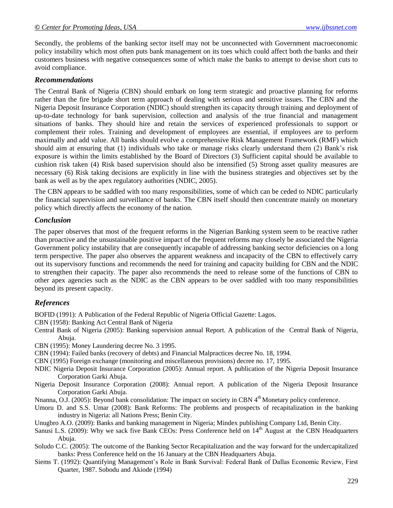Secondly, the problems of the banking sector itself may not be unconnected with Government macroeconomic policy instability which most often puts bank management on its toes which could affect both the banks and their customers business with negative consequences some of which make the banks to attempt to devise short cuts to avoid compliance.

### *Recommendations*

The Central Bank of Nigeria (CBN) should embark on long term strategic and proactive planning for reforms rather than the fire brigade short term approach of dealing with serious and sensitive issues. The CBN and the Nigeria Deposit Insurance Corporation (NDIC) should strengthen its capacity through training and deployment of up-to-date technology for bank supervision, collection and analysis of the true financial and management situations of banks. They should hire and retain the services of experienced professionals to support or complement their roles. Training and development of employees are essential, if employees are to perform maximally and add value. All banks should evolve a comprehensive Risk Management Framework (RMF) which should aim at ensuring that (1) individuals who take or manage risks clearly understand them (2) Bank's risk exposure is within the limits established by the Board of Directors (3) Sufficient capital should be available to cushion risk taken (4) Risk based supervision should also be intensified (5) Strong asset quality measures are necessary (6) Risk taking decisions are explicitly in line with the business strategies and objectives set by the bank as well as by the apex regulatory authorities (NDIC, 2005).

The CBN appears to be saddled with too many responsibilities, some of which can be ceded to NDIC particularly the financial supervision and surveillance of banks. The CBN itself should then concentrate mainly on monetary policy which directly affects the economy of the nation.

### *Conclusion*

The paper observes that most of the frequent reforms in the Nigerian Banking system seem to be reactive rather than proactive and the unsustainable positive impact of the frequent reforms may closely be associated the Nigeria Government policy instability that are consequently incapable of addressing banking sector deficiencies on a long term perspective. The paper also observes the apparent weakness and incapacity of the CBN to effectively carry out its supervisory functions and recommends the need for training and capacity building for CBN and the NDIC to strengthen their capacity. The paper also recommends the need to release some of the functions of CBN to other apex agencies such as the NDIC as the CBN appears to be over saddled with too many responsibilities beyond its present capacity.

### *References*

BOFID (1991): A Publication of the Federal Republic of Nigeria Official Gazette: Lagos.

- CBN (1958): Banking Act Central Bank of Nigeria
- Central Bank of Nigeria (2005): Banking supervision annual Report. A publication of the Central Bank of Nigeria, Abuja.
- CBN (1995): Money Laundering decree No. 3 1995.
- CBN (1994): Failed banks (recovery of debts) and Financial Malpractices decree No. 18, 1994.
- CBN (1995) Foreign exchange (monitoring and miscellaneous provisions) decree no. 17, 1995.
- NDIC Nigeria Deposit Insurance Corporation (2005): Annual report. A publication of the Nigeria Deposit Insurance Corporation Garki Abuja.
- Nigeria Deposit Insurance Corporation (2008): Annual report. A publication of the Nigeria Deposit Insurance Corporation Garki Abuja.
- Nnanna, O.J. (2005): Beyond bank consolidation: The impact on society in CBN 4<sup>th</sup> Monetary policy conference.
- Umoru D. and S.S. Umar (2008): Bank Reforms: The problems and prospects of recapitalization in the banking industry in Nigeria: all Nations Press; Benin City.
- Unugbro A.O. (2009): Banks and banking management in Nigeria; Mindex publishing Company Ltd, Benin City.
- Sanusi L.S. (2009): Why we sack five Bank CEOs: Press Conference held on 14<sup>th</sup> August at the CBN Headquarters Abuja.
- Soludo C.C. (2005): The outcome of the Banking Sector Recapitalization and the way forward for the undercapitalized banks: Press Conference held on the 16 January at the CBN Headquarters Abuja.
- Siems T. (1992): Quantifying Management's Role in Bank Survival: Federal Bank of Dallas Economic Review, First Quarter, 1987. Sobodu and Akiode (1994)